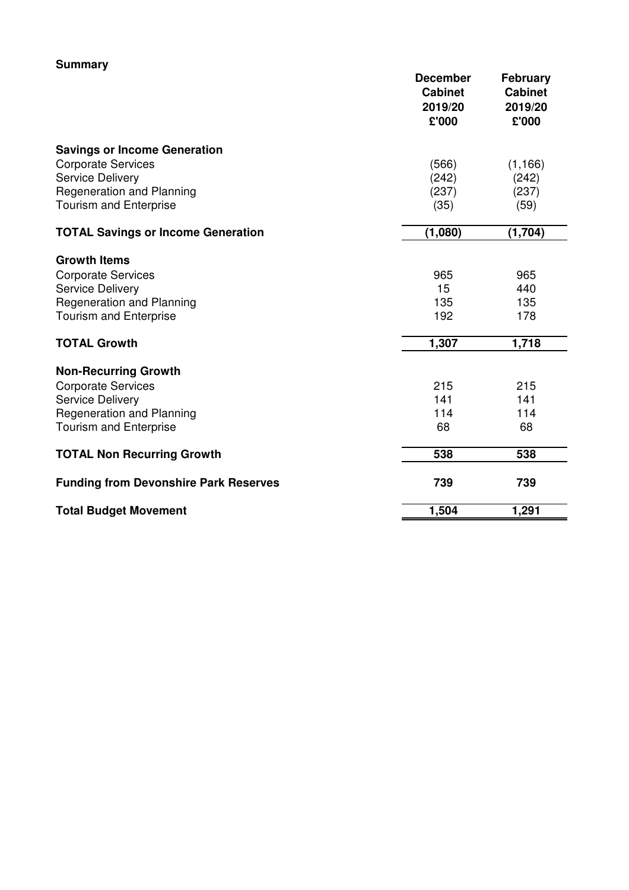| <b>Summary</b>                               |                                                       |                                                       |
|----------------------------------------------|-------------------------------------------------------|-------------------------------------------------------|
|                                              | <b>December</b><br><b>Cabinet</b><br>2019/20<br>£'000 | <b>February</b><br><b>Cabinet</b><br>2019/20<br>£'000 |
| <b>Savings or Income Generation</b>          |                                                       |                                                       |
| <b>Corporate Services</b>                    | (566)                                                 | (1, 166)                                              |
| <b>Service Delivery</b>                      | (242)                                                 | (242)                                                 |
| <b>Regeneration and Planning</b>             | (237)                                                 | (237)                                                 |
| <b>Tourism and Enterprise</b>                | (35)                                                  | (59)                                                  |
| <b>TOTAL Savings or Income Generation</b>    | (1,080)                                               | (1,704)                                               |
| <b>Growth Items</b>                          |                                                       |                                                       |
| <b>Corporate Services</b>                    | 965                                                   | 965                                                   |
| <b>Service Delivery</b>                      | 15                                                    | 440                                                   |
| <b>Regeneration and Planning</b>             | 135                                                   | 135                                                   |
| <b>Tourism and Enterprise</b>                | 192                                                   | 178                                                   |
| <b>TOTAL Growth</b>                          | 1,307                                                 | 1,718                                                 |
| <b>Non-Recurring Growth</b>                  |                                                       |                                                       |
| <b>Corporate Services</b>                    | 215                                                   | 215                                                   |
| <b>Service Delivery</b>                      | 141                                                   | 141                                                   |
| <b>Regeneration and Planning</b>             | 114                                                   | 114                                                   |
| <b>Tourism and Enterprise</b>                | 68                                                    | 68                                                    |
| <b>TOTAL Non Recurring Growth</b>            | 538                                                   | 538                                                   |
| <b>Funding from Devonshire Park Reserves</b> | 739                                                   | 739                                                   |
| <b>Total Budget Movement</b>                 | 1,504                                                 | 1,291                                                 |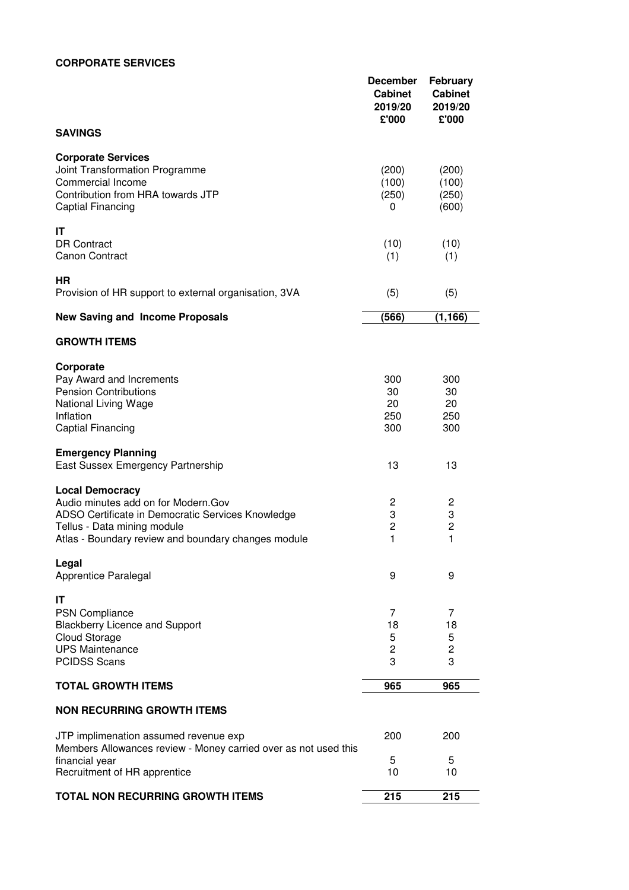## **CORPORATE SERVICES**

|                                                                                                                                                                                                           | <b>December</b><br><b>Cabinet</b><br>2019/20<br>£'000 | <b>February</b><br><b>Cabinet</b><br>2019/20<br>£'000 |
|-----------------------------------------------------------------------------------------------------------------------------------------------------------------------------------------------------------|-------------------------------------------------------|-------------------------------------------------------|
| <b>SAVINGS</b>                                                                                                                                                                                            |                                                       |                                                       |
| <b>Corporate Services</b><br>Joint Transformation Programme<br>Commercial Income<br>Contribution from HRA towards JTP<br>Captial Financing                                                                | (200)<br>(100)<br>(250)<br>0                          | (200)<br>(100)<br>(250)<br>(600)                      |
| IT<br><b>DR Contract</b><br><b>Canon Contract</b>                                                                                                                                                         | (10)<br>(1)                                           | (10)<br>(1)                                           |
| ΗR<br>Provision of HR support to external organisation, 3VA                                                                                                                                               | (5)                                                   | (5)                                                   |
| <b>New Saving and Income Proposals</b>                                                                                                                                                                    | (566)                                                 | (1, 166)                                              |
| <b>GROWTH ITEMS</b>                                                                                                                                                                                       |                                                       |                                                       |
| Corporate<br>Pay Award and Increments<br><b>Pension Contributions</b><br>National Living Wage<br>Inflation<br>Captial Financing                                                                           | 300<br>30<br>20<br>250<br>300                         | 300<br>30<br>20<br>250<br>300                         |
| <b>Emergency Planning</b><br>East Sussex Emergency Partnership                                                                                                                                            | 13                                                    | 13                                                    |
| <b>Local Democracy</b><br>Audio minutes add on for Modern. Gov<br>ADSO Certificate in Democratic Services Knowledge<br>Tellus - Data mining module<br>Atlas - Boundary review and boundary changes module | $\overline{c}$<br>3<br>$\overline{c}$<br>1            | 2<br>3<br>$\overline{c}$<br>1                         |
| Legal<br>Apprentice Paralegal                                                                                                                                                                             | 9                                                     | 9                                                     |
| IT<br><b>PSN Compliance</b><br><b>Blackberry Licence and Support</b><br><b>Cloud Storage</b><br><b>UPS Maintenance</b><br><b>PCIDSS Scans</b>                                                             | 7<br>18<br>5<br>$\overline{c}$<br>3                   | 7<br>18<br>5<br>$\overline{c}$<br>3                   |
| <b>TOTAL GROWTH ITEMS</b>                                                                                                                                                                                 | 965                                                   | 965                                                   |
| <b>NON RECURRING GROWTH ITEMS</b>                                                                                                                                                                         |                                                       |                                                       |
| JTP implimenation assumed revenue exp<br>Members Allowances review - Money carried over as not used this<br>financial year                                                                                | 200<br>5                                              | 200<br>5                                              |
| Recruitment of HR apprentice                                                                                                                                                                              | 10                                                    | 10                                                    |
| <b>TOTAL NON RECURRING GROWTH ITEMS</b>                                                                                                                                                                   | 215                                                   | 215                                                   |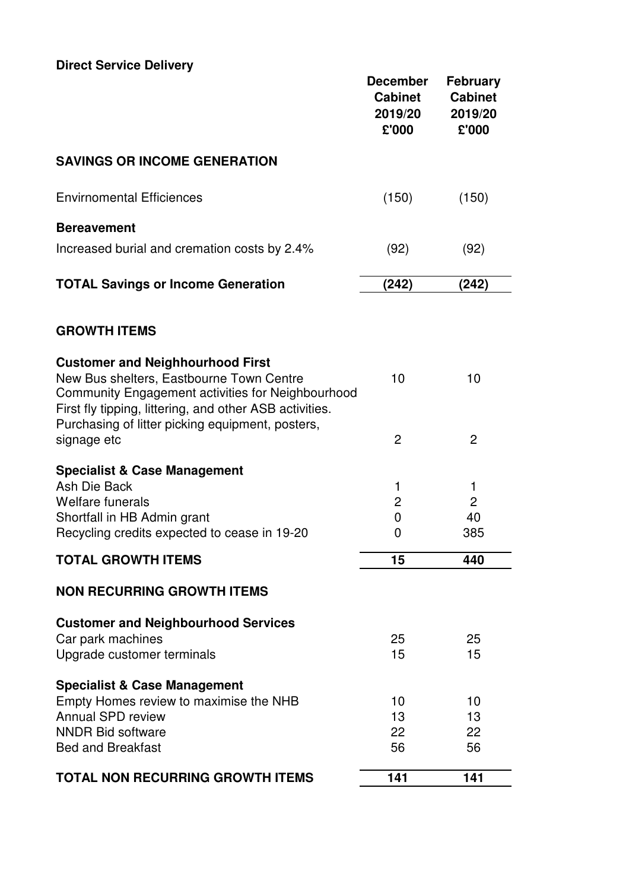| <b>Direct Service Delivery</b> |
|--------------------------------|
|--------------------------------|

| Direct Service Delivery                                                                                                                                                                                                                                 | <b>December</b><br><b>Cabinet</b><br>2019/20<br>£'000 | <b>February</b><br><b>Cabinet</b><br>2019/20<br>£'000 |
|---------------------------------------------------------------------------------------------------------------------------------------------------------------------------------------------------------------------------------------------------------|-------------------------------------------------------|-------------------------------------------------------|
| <b>SAVINGS OR INCOME GENERATION</b>                                                                                                                                                                                                                     |                                                       |                                                       |
| <b>Envirnomental Efficiences</b>                                                                                                                                                                                                                        | (150)                                                 | (150)                                                 |
| <b>Bereavement</b><br>Increased burial and cremation costs by 2.4%                                                                                                                                                                                      | (92)                                                  | (92)                                                  |
| <b>TOTAL Savings or Income Generation</b>                                                                                                                                                                                                               | (242)                                                 | (242)                                                 |
| <b>GROWTH ITEMS</b>                                                                                                                                                                                                                                     |                                                       |                                                       |
| <b>Customer and Neighhourhood First</b><br>New Bus shelters, Eastbourne Town Centre<br>Community Engagement activities for Neighbourhood<br>First fly tipping, littering, and other ASB activities.<br>Purchasing of litter picking equipment, posters, | 10                                                    | 10                                                    |
| signage etc                                                                                                                                                                                                                                             | $\overline{2}$                                        | $\overline{2}$                                        |
| <b>Specialist &amp; Case Management</b><br>Ash Die Back<br>Welfare funerals<br>Shortfall in HB Admin grant<br>Recycling credits expected to cease in 19-20                                                                                              | 1<br>2<br>$\overline{0}$<br>0                         | 1<br>$\overline{c}$<br>40<br>385                      |
| <b>TOTAL GROWTH ITEMS</b>                                                                                                                                                                                                                               | 15                                                    | 440                                                   |
| <b>NON RECURRING GROWTH ITEMS</b>                                                                                                                                                                                                                       |                                                       |                                                       |
| <b>Customer and Neighbourhood Services</b><br>Car park machines<br>Upgrade customer terminals                                                                                                                                                           | 25<br>15                                              | 25<br>15                                              |
| <b>Specialist &amp; Case Management</b><br>Empty Homes review to maximise the NHB<br>Annual SPD review<br><b>NNDR Bid software</b><br><b>Bed and Breakfast</b>                                                                                          | 10<br>13<br>22<br>56                                  | 10<br>13<br>22<br>56                                  |
| <b>TOTAL NON RECURRING GROWTH ITEMS</b>                                                                                                                                                                                                                 | 141                                                   | 141                                                   |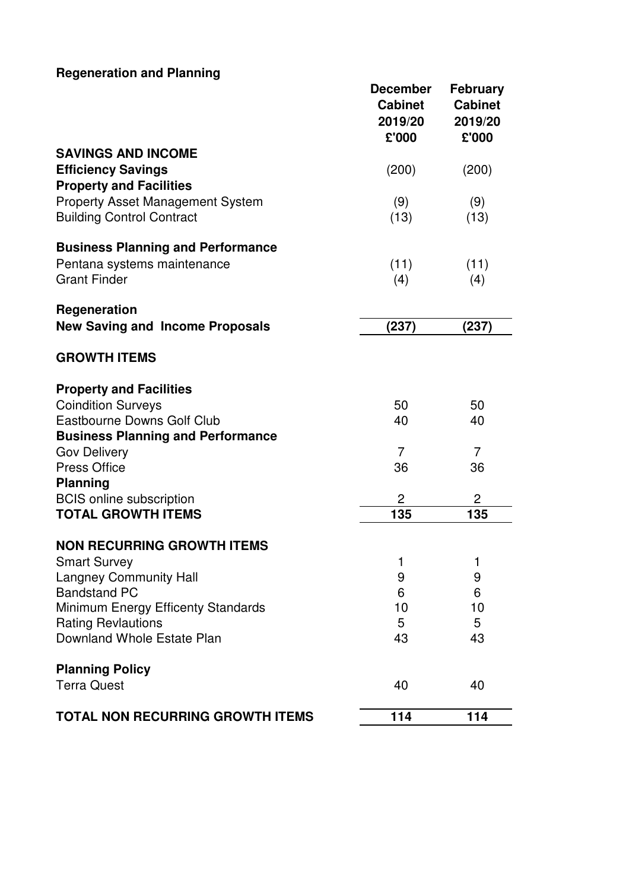## **Regeneration and Planning**

|                                                                 | <b>December</b><br><b>Cabinet</b><br>2019/20<br>£'000 | <b>February</b><br><b>Cabinet</b><br>2019/20<br>£'000 |
|-----------------------------------------------------------------|-------------------------------------------------------|-------------------------------------------------------|
| <b>SAVINGS AND INCOME</b>                                       |                                                       |                                                       |
| <b>Efficiency Savings</b><br><b>Property and Facilities</b>     | (200)                                                 | (200)                                                 |
| Property Asset Management System                                | (9)                                                   | (9)                                                   |
| <b>Building Control Contract</b>                                | (13)                                                  | (13)                                                  |
| <b>Business Planning and Performance</b>                        |                                                       |                                                       |
| Pentana systems maintenance                                     | (11)                                                  | (11)                                                  |
| <b>Grant Finder</b>                                             | (4)                                                   | (4)                                                   |
| Regeneration                                                    |                                                       |                                                       |
| <b>New Saving and Income Proposals</b>                          | (237)                                                 | (237)                                                 |
| <b>GROWTH ITEMS</b>                                             |                                                       |                                                       |
| <b>Property and Facilities</b>                                  |                                                       |                                                       |
| <b>Coindition Surveys</b>                                       | 50                                                    | 50                                                    |
| Eastbourne Downs Golf Club                                      | 40                                                    | 40                                                    |
| <b>Business Planning and Performance</b>                        | $\overline{7}$                                        | $\overline{7}$                                        |
| <b>Gov Delivery</b><br><b>Press Office</b>                      | 36                                                    | 36                                                    |
| <b>Planning</b>                                                 |                                                       |                                                       |
| <b>BCIS</b> online subscription                                 | $\overline{2}$                                        | 2                                                     |
| <b>TOTAL GROWTH ITEMS</b>                                       | 135                                                   | 135                                                   |
| <b>NON RECURRING GROWTH ITEMS</b>                               |                                                       |                                                       |
| <b>Smart Survey</b>                                             | ı                                                     | 1                                                     |
| <b>Langney Community Hall</b>                                   | 9                                                     | 9                                                     |
| <b>Bandstand PC</b>                                             | 6                                                     | 6                                                     |
| Minimum Energy Efficenty Standards<br><b>Rating Revlautions</b> | 10<br>5                                               | 10<br>5                                               |
| Downland Whole Estate Plan                                      | 43                                                    | 43                                                    |
| <b>Planning Policy</b>                                          |                                                       |                                                       |
| <b>Terra Quest</b>                                              | 40                                                    | 40                                                    |
| <b>TOTAL NON RECURRING GROWTH ITEMS</b>                         | 114                                                   | 114                                                   |